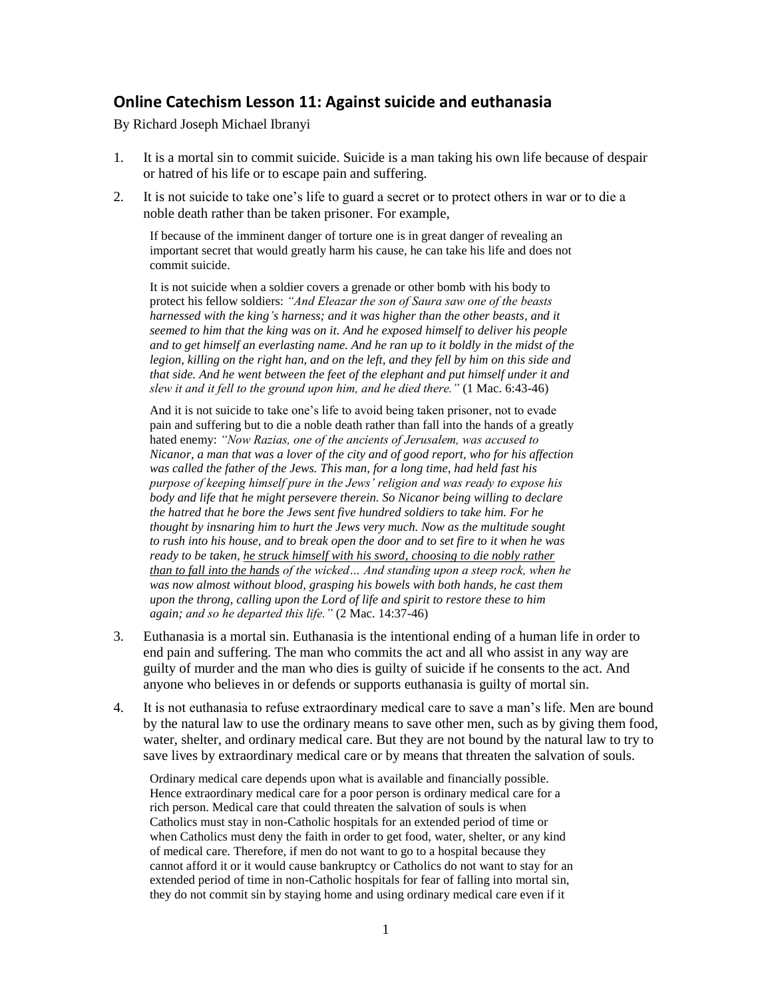## **Online Catechism Lesson 11: Against suicide and euthanasia**

By Richard Joseph Michael Ibranyi

- 1. It is a mortal sin to commit suicide. Suicide is a man taking his own life because of despair or hatred of his life or to escape pain and suffering.
- 2. It is not suicide to take one's life to guard a secret or to protect others in war or to die a noble death rather than be taken prisoner. For example,

If because of the imminent danger of torture one is in great danger of revealing an important secret that would greatly harm his cause, he can take his life and does not commit suicide.

It is not suicide when a soldier covers a grenade or other bomb with his body to protect his fellow soldiers: *"And Eleazar the son of Saura saw one of the beasts harnessed with the king's harness; and it was higher than the other beasts, and it seemed to him that the king was on it. And he exposed himself to deliver his people and to get himself an everlasting name. And he ran up to it boldly in the midst of the legion, killing on the right han, and on the left, and they fell by him on this side and that side. And he went between the feet of the elephant and put himself under it and slew it and it fell to the ground upon him, and he died there."* (1 Mac. 6:43-46)

And it is not suicide to take one's life to avoid being taken prisoner, not to evade pain and suffering but to die a noble death rather than fall into the hands of a greatly hated enemy: *"Now Razias, one of the ancients of Jerusalem, was accused to Nicanor, a man that was a lover of the city and of good report, who for his affection was called the father of the Jews. This man, for a long time, had held fast his purpose of keeping himself pure in the Jews' religion and was ready to expose his body and life that he might persevere therein. So Nicanor being willing to declare the hatred that he bore the Jews sent five hundred soldiers to take him. For he thought by insnaring him to hurt the Jews very much. Now as the multitude sought to rush into his house, and to break open the door and to set fire to it when he was ready to be taken, he struck himself with his sword, choosing to die nobly rather than to fall into the hands of the wicked… And standing upon a steep rock, when he was now almost without blood, grasping his bowels with both hands, he cast them upon the throng, calling upon the Lord of life and spirit to restore these to him again; and so he departed this life."* (2 Mac. 14:37-46)

- 3. Euthanasia is a mortal sin. Euthanasia is the intentional ending of a human life in order to end pain and suffering. The man who commits the act and all who assist in any way are guilty of murder and the man who dies is guilty of suicide if he consents to the act. And anyone who believes in or defends or supports euthanasia is guilty of mortal sin.
- 4. It is not euthanasia to refuse extraordinary medical care to save a man's life. Men are bound by the natural law to use the ordinary means to save other men, such as by giving them food, water, shelter, and ordinary medical care. But they are not bound by the natural law to try to save lives by extraordinary medical care or by means that threaten the salvation of souls.

Ordinary medical care depends upon what is available and financially possible. Hence extraordinary medical care for a poor person is ordinary medical care for a rich person. Medical care that could threaten the salvation of souls is when Catholics must stay in non-Catholic hospitals for an extended period of time or when Catholics must deny the faith in order to get food, water, shelter, or any kind of medical care. Therefore, if men do not want to go to a hospital because they cannot afford it or it would cause bankruptcy or Catholics do not want to stay for an extended period of time in non-Catholic hospitals for fear of falling into mortal sin, they do not commit sin by staying home and using ordinary medical care even if it